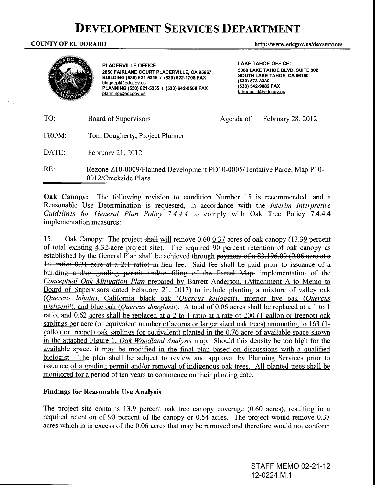# **DEVELOPMENT SERVICES DEPARTMENT**

COUNTY OF EL DORADO http://www.edcgov.us/devservices



PLACERVILLE OFFICE: 2850 FAIRLANE COURT PLACERVILLE, CA 95667 BUILDING (530) 621-5315 I (530) 622-1708 FAX bldgdept@edcgov.us PLANNING (530) 621-5355 I (530) 642-0508 FAX planning@edcgov.us

LAKE TAHOE OFFICE: 3368 LAKE TAHOE BLVD. SUITE 302 SOUTH LAKE TAHOE, CA 96150 (530) 573-3330 (530) 542-9082 FAX tahoebuild@edcgov.us

| TO:   | Board of Supervisors                                                                            | Agenda of: | February 28, 2012 |
|-------|-------------------------------------------------------------------------------------------------|------------|-------------------|
| FROM: | Tom Dougherty, Project Planner                                                                  |            |                   |
| DATE: | February 21, 2012                                                                               |            |                   |
| RE:   | Rezone Z10-0009/Planned Development PD10-0005/Tentative Parcel Map P10-<br>0012/Creekside Plaza |            |                   |

Oak Canopy: The following revision to condition Number 15 is recommended, and a Reasonable Use Determination is requested, in accordance with the *Interim Interpretive Guidelines for General Plan Policy* 7.4.4.4 to comply with Oak Tree Policy 7.4.4.4 implementation measures:

15. Oak Canopy: The project shall will remove  $0.60$  0.37 acres of oak canopy (13.39 percent of total existing 4.32-acre project site). The required 90 percent retention of oak canopy as established by the General Plan shall be achieved through payment of a  $$3,196.00$  (0.06 acre at a 1:1 ratio; 0.31 acre at a 2:1 ratio) in lieu fee. Said fee shall be paid prior to issuance of a building and/or grading permit and/or filing of the Parcel Map. implementation of the *Conceptual Oak Mitigation Plan* prepared by Barrett Anderson, (Attachment A to Memo to Board of Supervisors dated February 21, 2012) to include planting a mixture of valley oak *(Quercus lobata),* California black oak *(Quercus kelloggii),* interior live oak *(Quercus wislizenii),* and blue oak *(Quercus douglasii).* A total of 0.06 acres shall be replaced at a 1 to 1 ratio, and 0.62 acres shall be replaced at a 2 to 1 ratio at a rate of 200 (I-gallon or treepot) oak saplings per acre (or equivalent number of acorns or larger sized oak trees) amounting to 163 (Igallon or treepot) oak saplings (or equivalent) planted in the 0.76 acre of available space shown in the attached Figure 1, *Oak Woodland Analvsis* map. Should this density be too high for the available space, it may be modified in the final plan based on discussions with a qualified biologist. The plan shall be subject to review and approval by Planning Services prior to issuance of a grading permit and/or removal of indigenous oak trees. All planted trees shall be monitored for a period of ten years to commence on their planting date.

# Findings for Reasonable Use Analysis

The project site contains 13.9 percent oak tree canopy coverage (0.60 acres), resulting in a required retention of 90 percent of the canopy or 0.54 acres. The project would remove 0.37 acres which is in excess of the 0.06 acres that may be removed and therefore would not conform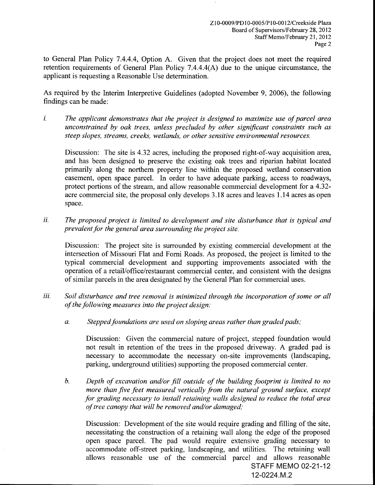to General Plan Policy 7.4.4.4, Option A. Given that the project does not meet the required retention requirements of General Plan Policy 7.4.4.4(A) due to the unique circumstance, the applicant is requesting a Reasonable Use determination.

As required by the Interim Interpretive Guidelines (adopted November 9, 2006), the following findings can be made:

*i. The applicant demonstrates that the project is designed to maximize use of parcel area unconstrained by oak trees, unless precluded by other significant constraints such as steep slopes, streams, creeks, wetlands, or other sensitive environmental resources.* 

Discussion: The site is 4.32 acres, including the proposed right-of-way acquisition area, and has been designed to preserve the existing oak trees and riparian habitat located primarily along the northern property line within the proposed wetland conservation easement, open space parcel. In order to have adequate parking, access to roadways, protect portions of the stream, and allow reasonable commercial development for a 4.32 acre commercial site, the proposal only develops 3.18 acres and leaves 1.14 acres as open space.

*ii. The proposed project is limited to development and site disturbance that is typical and prevalent for the general area surrounding the project site.* 

Discussion: The project site is surrounded by existing commercial development at the intersection of Missouri Flat and Forni Roads. As proposed, the project is limited to the typical commercial development and supporting improvements associated with the operation of a retail/office/restaurant commercial center, and consistent with the designs of similar parcels in the area designated by the General Plan for commercial uses.

- *iii. Soil disturbance and tree removal is minimized through the incorporation of some or all of the following measures into the project design:* 
	- *a. Stepped foundations are used on sloping areas rather than graded pads;*

Discussion: Given the commercial nature of project, stepped foundation would not result in retention of the trees in the proposed driveway. A graded pad is necessary to accommodate the necessary on-site improvements (landscaping, parking, underground utilities) supporting the proposed commercial center.

*b. Depth of excavation and/or fill outside of the building footprint is limited to no more than five feet measured vertically from the natural ground surface, except for grading necessary to install retaining walls designed to reduce the total area of tree canopy that will be removed and/or damaged;* 

STAFF MEMO 02-21-12 12-0224.M.2 Discussion: Development of the site would require grading and filling of the site, necessitating the construction of a retaining wall along the edge of the proposed open space parcel. The pad would require extensive grading necessary to accommodate off-street parking, landscaping, and utilities. The retaining wall allows reasonable use of the commercial parcel and allows reasonable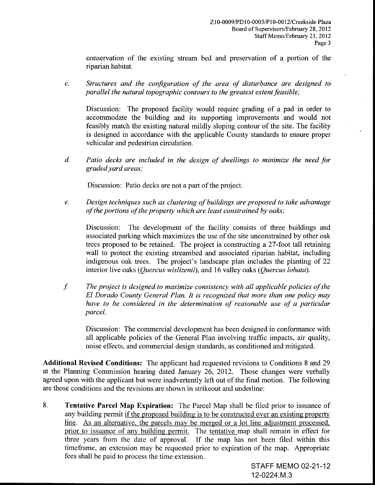conservation of the existing stream bed and preservation of a portion of the riparian habitat.

c. *Structures and the configuration of the area of disturbance are designed* to' *parallel the natural topographic contours to the greatest extent feasible;* 

Discussion: The proposed facility would require grading of a pad in order to accommodate the building and its supporting improvements and would not feasibly match the existing natural mildly sloping contour of the site. The facility is designed in accordance with the applicable County standards to ensure proper vehicular and pedestrian circulation.

*d. Patio decks are included in the design of dwellings to minimize the need for graded yard areas;* 

Discussion: Patio decks are not a part of the project.

*e. Design techniques such as clustering of buildings are proposed to take advantage of the portions of the property which are least constrained by oaks;* 

Discussion: The development of the facility consists of three buildings and associated parking which maximizes the use of the site unconstrained by other oak trees proposed to be retained. The project is constructing a 27-foot tall retaining wall to protect the existing streambed and associated riparian habitat, including indigenous oak trees. The project's landscape plan includes the planting of 22 interior live oaks *(Quercus wislizenii),* and 16 valley oaks *(Quercus lobata).* 

f *The project is designed to maximize consistency with all applicable policies of the El Dorado County General Plan. It is recognized that more than one policy may have to be considered in the determination of reasonable use of a particular parcel.* 

Discussion: The commercial development has been designed in conformance with all applicable policies of the General Plan involving traffic impacts, air quality, noise effects, and commercial design standards, as conditioned and mitigated.

**Additional Revised Conditions:** The applicant had requested revisions to Conditions 8 and 29 at the Planning Commission hearing dated January 26, 2012. Those changes were verbally agreed upon with the applicant but were inadvertently left out of the final motion. The following are those conditions and the revisions are shown in strikeout and underline:

8. **Tentative Parcel Map Expiration:** The Parcel Map shall be filed prior to issuance of any building permit if the proposed building is to be constructed over an existing property line. As an alternative, the parcels may be merged or a lot line adjustment processed, prior to issuance of any building permit. The tentative map shall remain in effect for three years from the date of approval. If the map has not been filed within this timeframe, an extension may be requested prior to expiration of the map. Appropriate fees shall be paid to process the time extension.

> STAFF MEMO 02-21-12 12-0224.M.3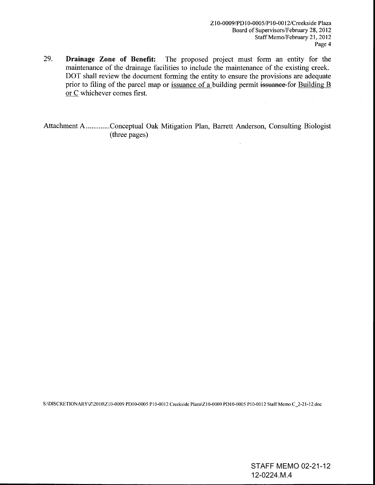29. **Drainage Zone of Benefit:** The proposed project must form an entity for the maintenance of the drainage facilities to include the maintenance of the existing creek. DOT shall review the document forming the entity to ensure the provisions are adequate prior to filing of the parcel map or issuance of a building permit issuance for Building B or C whichever comes first.

Attachment A ............. Conceptual Oak Mitigation Plan, Barrett Anderson, Consulting Biologist (three pages)

S:\DISCRETIONARY\Z\20 I OIZIO-0009 PDIO-OOOS PIO-OOI2 Creekside PlazalZlO-0009 PDlO-OOOS PlO-OOI2 Staff Memo C\_2-2l-l2.doc

STAFF MEMO 02-21-12 12-0224.M.4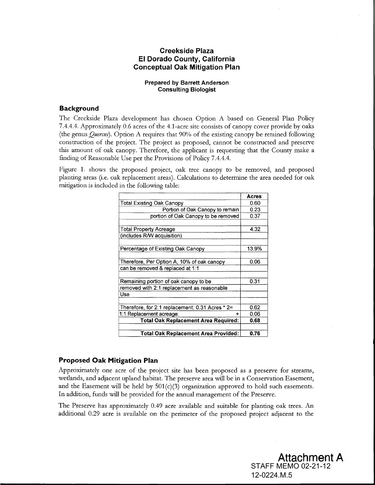# **Creekside Plaza EI Dorado County, California Conceptual Oak Mitigation Plan**

#### **Prepared by Barrett Anderson Consulting Biologist**

## **Background**

The Creekside Plaza development has chosen Option A based on General Plan Policy 7.4.4.4. Approximately 0.6 acres of the 4.1-acre site consists of canopy cover provide by oaks (the genus *Quercus).* Option A requires that 90% of the existing canopy be retained following construction of the project. The project as proposed, cannot be constructed and preserve this amount of oak canopy. Therefore, the applicant is requesting that the County make a finding of Reasonable Use per the Provisions of Policy 7.4.4.4.

Figure 1. shows the proposed project, oak tree canopy to be removed, and proposed planting areas (i.e. oak replacement areas). Calculations to determine the area needed for oak mitigation is included in the following table:

|                                                 | Acres |
|-------------------------------------------------|-------|
| Total Existing Oak Canopy                       | 0.60  |
| Portion of Oak Canopy to remain                 | 0.23  |
| portion of Oak Canopy to be removed             | 0.37  |
|                                                 |       |
| Total Property Acreage                          | 4.32  |
| (includes R/W acquisition)                      |       |
|                                                 |       |
| Percentage of Existing Oak Canopy               | 13.9% |
|                                                 |       |
| Therefore, Per Option A, 10% of oak canopy      | 0.06  |
| can be removed & replaced at 1:1                |       |
|                                                 |       |
| Remaining portion of oak canopy to be           | 0.31  |
| removed with 2:1 replacement as reasonable      |       |
| Use                                             |       |
|                                                 |       |
| Therefore, for 2:1 replacement: 0.31 Acres * 2= | 0.62  |
| 1:1 Replacement acreage:                        | 0.06  |
| Total Oak Replacement Area Required:            | 0.68  |
|                                                 |       |
| Total Oak Replacement Area Provided:            | 0.76  |

### **Proposed Oak Mitigation Plan**

Approximately one acre of the project site has been proposed as a preserve for streams, wedands, and adjacent upland habitat. The preserve area will be in a Conservation Easement, and the Easement will be held by  $501(c)(3)$  organization approved to hold such easements. In addition, funds will be provided for the annual management of the Preserve.

The Preserve has approximately 0.49 acre available and suitable for planting oak trees. An additional 0.29 acre is available on the perimeter of the proposed project adjacent to the

> STAFF MEMO 02-21-12 12-0224.M.5 **Attachment A**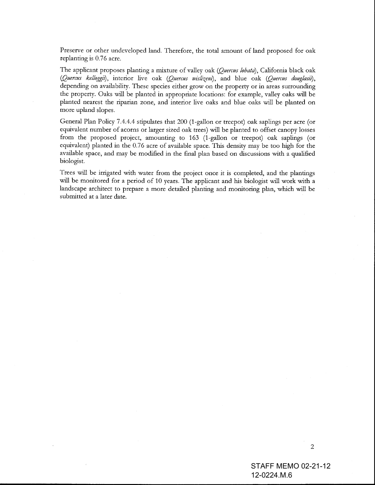Preserve or other undeveloped land. Therefore, the total amount of land proposed for oak replanting is 0.76 acre.

The applicant proposes planting a mixture of valley oak *(Quercus lobata),* California black oak *(Quercus kelloggit),* interior live oak *(Quercus wislizent),* and blue oak *(Quercus douglasit),*  depending on availability. These species either grow on the property or in areas surrounding the property. Oaks will be planted in appropriate locations: for example, valley oaks will be planted nearest the riparian zone, and interior live oaks and blue oaks will be planted on more upland slopes.

General Plan Policy 7.4.4.4 stipulates that 200 (l-gallon or treepot) oak saplings per acre (or equivalent number of acorns or larger sized oak trees) will be planted to offset canopy losses from the proposed project, amounting to 163 (l-gallon or treepot) oak saplings (or equivalent) planted in the 0.76 acre of available space. This density may be too high for the available space, and may be modified in the final plan based on discussions with a qualified biologist.

Trees will be irrigated with water from the project once it is completed, and the plantings will be monitored for a period of 10 years. The applicant and his biologist will work with a landscape architect to prepare a more detailed planting and monitoring plan, which will be submitted at a later date.